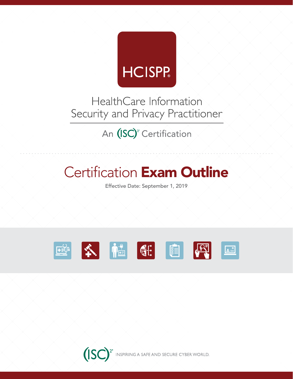

HealthCare Information Security and Privacy Practitioner

An (ISC)<sup>2</sup> Certification

# **Certification Exam Outline**

Effective Date: September 1, 2019



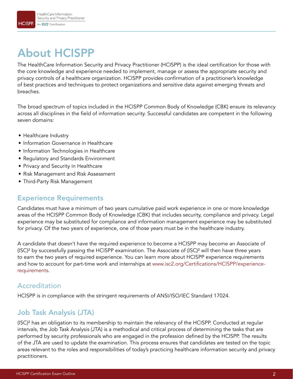# About HCISPP

The HealthCare Information Security and Privacy Practitioner (HCISPP) is the ideal certification for those with the core knowledge and experience needed to implement, manage or assess the appropriate security and privacy controls of a healthcare organization. HCISPP provides confirmation of a practitioner's knowledge of best practices and techniques to protect organizations and sensitive data against emerging threats and breaches.

The broad spectrum of topics included in the HCISPP Common Body of Knowledge (CBK) ensure its relevancy across all disciplines in the field of information security. Successful candidates are competent in the following seven domains:

- Healthcare Industry
- Information Governance in Healthcare
- Information Technologies in Healthcare
- Regulatory and Standards Environment
- Privacy and Security in Healthcare
- Risk Management and Risk Assessment
- Third-Party Risk Management

### Experience Requirements

Candidates must have a minimum of two years cumulative paid work experience in one or more knowledge areas of the HCISPP Common Body of Knowledge (CBK) that includes security, compliance and privacy. Legal experience may be substituted for compliance and information management experience may be substituted for privacy. Of the two years of experience, one of those years must be in the healthcare industry.

A candidate that doesn't have the required experience to become a HCISPP may become an Associate of (ISC)² by successfully passing the HCISPP examination. The Associate of (ISC)² will then have three years to earn the two years of required experience. You can learn more about HCISPP experience requirements and how to account for part-time work and internships at [www.isc2.org/Certifications/HCISPP/experience](https://www.isc2.org/Certifications/HCISPP/experience-requirements)[requirements](https://www.isc2.org/Certifications/HCISPP/experience-requirements).

### Accreditation

HCISPP is in compliance with the stringent requirements of ANSI/ISO/IEC Standard 17024.

### Job Task Analysis (JTA)

(ISC)² has an obligation to its membership to maintain the relevancy of the HCISPP. Conducted at regular intervals, the Job Task Analysis (JTA) is a methodical and critical process of determining the tasks that are performed by security professionals who are engaged in the profession defined by the HCISPP. The results of the JTA are used to update the examination. This process ensures that candidates are tested on the topic areas relevant to the roles and responsibilities of today's practicing healthcare information security and privacy practitioners.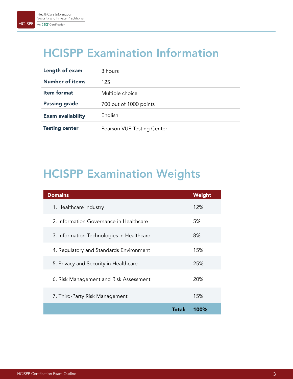### HCISPP Examination Information

| Length of exam           | 3 hours                    |
|--------------------------|----------------------------|
| <b>Number of items</b>   | 125                        |
| <b>Item format</b>       | Multiple choice            |
| <b>Passing grade</b>     | 700 out of 1000 points     |
| <b>Exam availability</b> | English                    |
| <b>Testing center</b>    | Pearson VUE Testing Center |

# HCISPP Examination Weights

| <b>Domains</b>                            | Weight |
|-------------------------------------------|--------|
| 1. Healthcare Industry                    | 12%    |
| 2. Information Governance in Healthcare   | 5%     |
| 3. Information Technologies in Healthcare | 8%     |
| 4. Regulatory and Standards Environment   | 15%    |
| 5. Privacy and Security in Healthcare     | 25%    |
| 6. Risk Management and Risk Assessment    | 20%    |
| 7. Third-Party Risk Management            | 15%    |
| <b>Total:</b>                             | 100%   |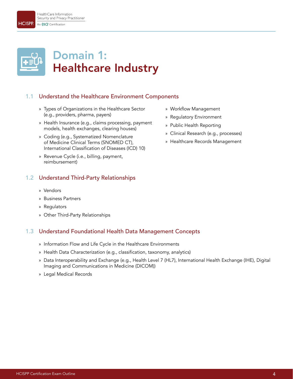**HCISPP** 



### 1.1 Understand the Healthcare Environment Components

- » Types of Organizations in the Healthcare Sector (e.g., providers, pharma, payers)
- » Health Insurance (e.g., claims processing, payment models, health exchanges, clearing houses)
- » Coding (e.g., Systematized Nomenclature of Medicine Clinical Terms (SNOMED CT), International Classification of Diseases (ICD) 10)
- » Revenue Cycle (i.e., billing, payment, reimbursement)

#### 1.2 Understand Third-Party Relationships

- » Vendors
- » Business Partners
- » Regulators
- » Other Third-Party Relationships

#### 1.3 Understand Foundational Health Data Management Concepts

- » Information Flow and Life Cycle in the Healthcare Environments
- » Health Data Characterization (e.g., classification, taxonomy, analytics)
- » Data Interoperability and Exchange (e.g., Health Level 7 (HL7), International Health Exchange (IHE), Digital Imaging and Communications in Medicine (DICOM))
- » Legal Medical Records
- » Workflow Management
- » Regulatory Environment
- » Public Health Reporting
- » Clinical Research (e.g., processes)
- » Healthcare Records Management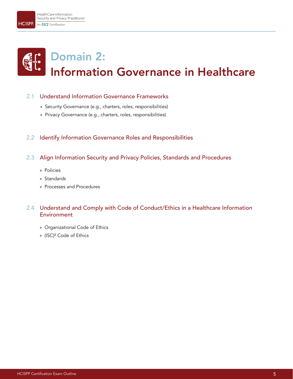# Domain 2: Information Governance in Healthcare

#### 2.1 Understand Information Governance Frameworks

- » Security Governance (e.g., charters, roles, responsibilities)
- » Privacy Governance (e.g., charters, roles, responsibilities)

#### 2.2 Identify Information Governance Roles and Responsibilities

- 2.3 Align Information Security and Privacy Policies, Standards and Procedures
	- » Policies
	- » Standards
	- » Processes and Procedures

#### 2.4 Understand and Comply with Code of Conduct/Ethics in a Healthcare Information **Environment**

- » Organizational Code of Ethics
- » (ISC)² Code of Ethics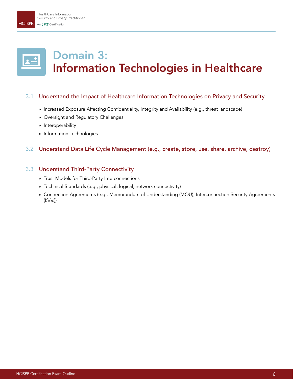**HCISPP** 

# Domain 3: Information Technologies in Healthcare

#### 3.1 Understand the Impact of Healthcare Information Technologies on Privacy and Security

- » Increased Exposure Affecting Confidentiality, Integrity and Availability (e.g., threat landscape)
- » Oversight and Regulatory Challenges
- » Interoperability
- » Information Technologies

#### 3.2 Understand Data Life Cycle Management (e.g., create, store, use, share, archive, destroy)

#### 3.3 Understand Third-Party Connectivity

- » Trust Models for Third-Party Interconnections
- » Technical Standards (e.g., physical, logical, network connectivity)
- » Connection Agreements (e.g., Memorandum of Understanding (MOU), Interconnection Security Agreements (ISAs))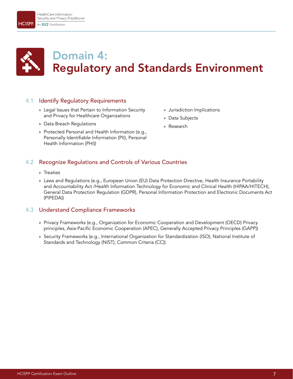

**HCISPP** 

### Domain 4: Regulatory and Standards Environment

#### 4.1 Identify Regulatory Requirements

- » Legal Issues that Pertain to Information Security and Privacy for Healthcare Organizations
- » Data Breach Regulations
- » Protected Personal and Health Information (e.g., Personally Identifiable Information (PII), Personal Health Information (PHI))
- » Jurisdiction Implications
- » Data Subjects
- » Research

#### 4.2 Recognize Regulations and Controls of Various Countries

- » Treaties
- » Laws and Regulations (e.g., European Union (EU) Data Protection Directive, Health Insurance Portability and Accountability Act /Health Information Technology for Economic and Clinical Health (HIPAA/HITECH), General Data Protection Regulation (GDPR), Personal Information Protection and Electronic Documents Act (PIPEDA))

#### 4.3 Understand Compliance Frameworks

- » Privacy Frameworks (e.g., Organization for Economic Cooperation and Development (OECD) Privacy principles, Asia-Pacific Economic Cooperation (APEC), Generally Accepted Privacy Principles (GAPP))
- » Security Frameworks (e.g., International Organization for Standardization (ISO), National Institute of Standards and Technology (NIST), Common Criteria (CC))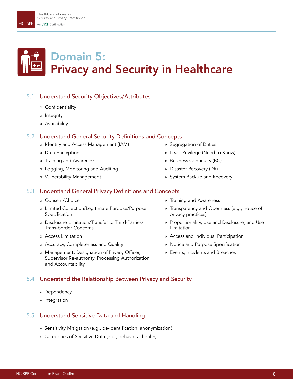# Domain 5: Privacy and Security in Healthcare

#### 5.1 Understand Security Objectives/Attributes

- » Confidentiality
- » Integrity
- » Availability

#### 5.2 Understand General Security Definitions and Concepts

- » Identity and Access Management (IAM)
- » Data Encryption
- » Training and Awareness
- » Logging, Monitoring and Auditing
- » Vulnerability Management

#### 5.3 Understand General Privacy Definitions and Concepts

- » Consent/Choice
- » Limited Collection/Legitimate Purpose/Purpose Specification
- » Disclosure Limitation/Transfer to Third-Parties/ Trans-border Concerns
- » Access Limitation
- » Accuracy, Completeness and Quality
- » Management, Designation of Privacy Officer, Supervisor Re-authority, Processing Authorization and Accountability

#### 5.4 Understand the Relationship Between Privacy and Security

- » Dependency
- » Integration

#### 5.5 Understand Sensitive Data and Handling

- » Sensitivity Mitigation (e.g., de-identification, anonymization)
- » Categories of Sensitive Data (e.g., behavioral health)
- » Segregation of Duties
- » Least Privilege (Need to Know)
- » Business Continuity (BC)
- » Disaster Recovery (DR)
- » System Backup and Recovery
- » Training and Awareness
- » Transparency and Openness (e.g., notice of privacy practices)
- » Proportionality, Use and Disclosure, and Use Limitation
- » Access and Individual Participation
- » Notice and Purpose Specification
- » Events, Incidents and Breaches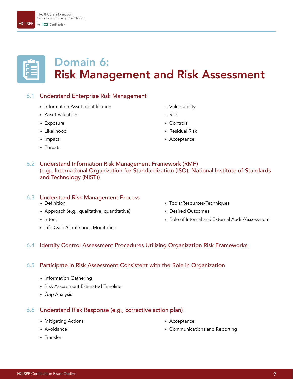#### HealthCare Information Security and Privacy Practitioner An (ISC)<sup>x</sup> Certification

6.1 Understand Enterprise Risk Management

Domain 6:

- » Information Asset Identification
- » Asset Valuation
- » Exposure
- » Likelihood
- » Impact
- » Threats
- » Vulnerability
- » Risk

Risk Management and Risk Assessment

- » Controls
- » Residual Risk
- » Acceptance
- 6.2 Understand Information Risk Management Framework (RMF) (e.g., International Organization for Standardization (ISO), National Institute of Standards and Technology (NIST))

#### 6.3 Understand Risk Management Process

- » Definition
- » Approach (e.g., qualitative, quantitative)
- » Intent
- » Life Cycle/Continuous Monitoring
- » Tools/Resources/Techniques
- » Desired Outcomes
- » Role of Internal and External Audit/Assessment
- 6.4 Identify Control Assessment Procedures Utilizing Organization Risk Frameworks

#### 6.5 Participate in Risk Assessment Consistent with the Role in Organization

- » Information Gathering
- » Risk Assessment Estimated Timeline
- » Gap Analysis

#### 6.6 Understand Risk Response (e.g., corrective action plan)

- » Mitigating Actions
- » Avoidance
- » Transfer
- » Acceptance
- » Communications and Reporting



**HCISPP** 



- 
- 
-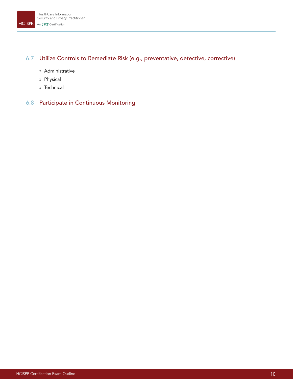### 6.7 Utilize Controls to Remediate Risk (e.g., preventative, detective, corrective)

- » Administrative
- » Physical
- » Technical

#### 6.8 Participate in Continuous Monitoring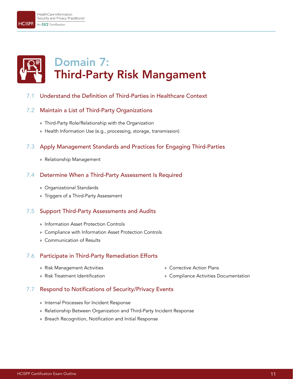HealthCare Information Security and Privacy Practitioner

# Domain 7: Third-Party Risk Mangament

#### 7.1 Understand the Definition of Third-Parties in Healthcare Context

#### 7.2 Maintain a List of Third-Party Organizations

- » Third-Party Role/Relationship with the Organization
- » Health Information Use (e.g., processing, storage, transmission)

#### 7.3 Apply Management Standards and Practices for Engaging Third-Parties

» Relationship Management

#### 7.4 Determine When a Third-Party Assessment Is Required

- » Organizational Standards
- » Triggers of a Third-Party Assessment

#### 7.5 Support Third-Party Assessments and Audits

- » Information Asset Protection Controls
- » Compliance with Information Asset Protection Controls
- » Communication of Results

#### 7.6 Participate in Third-Party Remediation Efforts

» Risk Management Activities

» Corrective Action Plans

» Risk Treatment Identification

» Compliance Activities Documentation

#### 7.7 Respond to Notifications of Security/Privacy Events

- » Internal Processes for Incident Response
- » Relationship Between Organization and Third-Party Incident Response
- » Breach Recognition, Notification and Initial Response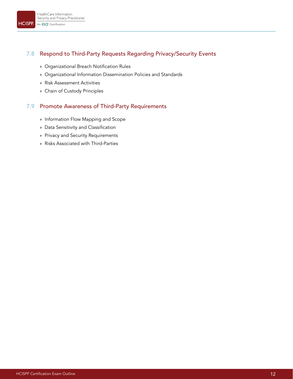#### 7.8 Respond to Third-Party Requests Regarding Privacy/Security Events

- » Organizational Breach Notification Rules
- » Organizational Information Dissemination Policies and Standards
- » Risk Assessment Activities
- » Chain of Custody Principles

#### 7.9 Promote Awareness of Third-Party Requirements

- » Information Flow Mapping and Scope
- » Data Sensitivity and Classification
- » Privacy and Security Requirements
- » Risks Associated with Third-Parties